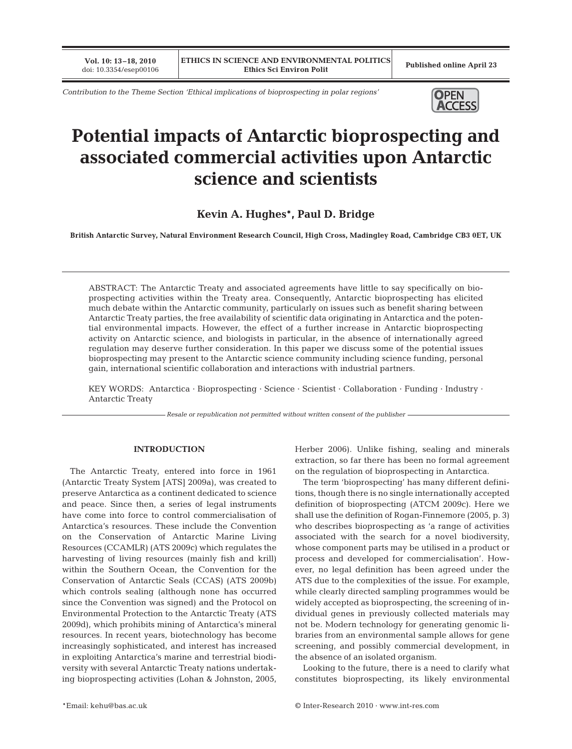**Vol. 10: 13–18, 2010**

*Contribution to the Theme Section 'Ethical implications of bioprospecting in polar regions'*



# **Potential impacts of Antarctic bioprospecting and associated commercial activities upon Antarctic science and scientists**

**Kevin A. Hughes\*, Paul D. Bridge**

**British Antarctic Survey, Natural Environment Research Council, High Cross, Madingley Road, Cambridge CB3 0ET, UK**

ABSTRACT: The Antarctic Treaty and associated agreements have little to say specifically on bioprospecting activities within the Treaty area. Consequently, Antarctic bioprospecting has elicited much debate within the Antarctic community, particularly on issues such as benefit sharing between Antarctic Treaty parties, the free availability of scientific data originating in Antarctica and the potential environmental impacts. However, the effect of a further increase in Antarctic bioprospecting activity on Antarctic science, and biologists in particular, in the absence of internationally agreed regulation may deserve further consideration. In this paper we discuss some of the potential issues bioprospecting may present to the Antarctic science community including science funding, personal gain, international scientific collaboration and interactions with industrial partners.

KEY WORDS: Antarctica · Bioprospecting · Science · Scientist · Collaboration · Funding · Industry · Antarctic Treaty

*Resale or republication not permitted without written consent of the publisher*

# **INTRODUCTION**

The Antarctic Treaty, entered into force in 1961 (Antarctic Treaty System [ATS] 2009a), was created to preserve Antarctica as a continent dedicated to science and peace. Since then, a series of legal instruments have come into force to control commercialisation of Antarctica's resources. These include the Convention on the Conservation of Antarctic Marine Living Resources (CCAMLR) (ATS 2009c) which regulates the harvesting of living resources (mainly fish and krill) within the Southern Ocean, the Convention for the Conservation of Antarctic Seals (CCAS) (ATS 2009b) which controls sealing (although none has occurred since the Convention was signed) and the Protocol on Environmental Protection to the Antarctic Treaty (ATS 2009d), which prohibits mining of Antarctica's mineral resources. In recent years, biotechnology has become increasingly sophisticated, and interest has increased in exploiting Antarctica's marine and terrestrial biodiversity with several Antarctic Treaty nations undertaking bioprospecting activities (Lohan & Johnston, 2005, Herber 2006). Unlike fishing, sealing and minerals extraction, so far there has been no formal agreement on the regulation of bioprospecting in Antarctica.

The term 'bioprospecting' has many different definitions, though there is no single internationally accepted definition of bioprospecting (ATCM 2009c). Here we shall use the definition of Rogan-Finnemore (2005, p. 3) who describes bioprospecting as 'a range of activities associated with the search for a novel biodiversity, whose component parts may be utilised in a product or process and developed for commercialisation'. However, no legal definition has been agreed under the ATS due to the complexities of the issue. For example, while clearly directed sampling programmes would be widely accepted as bioprospecting, the screening of individual genes in previously collected materials may not be. Modern technology for generating genomic libraries from an environmental sample allows for gene screening, and possibly commercial development, in the absence of an isolated organism.

Looking to the future, there is a need to clarify what constitutes bioprospecting, its likely environmental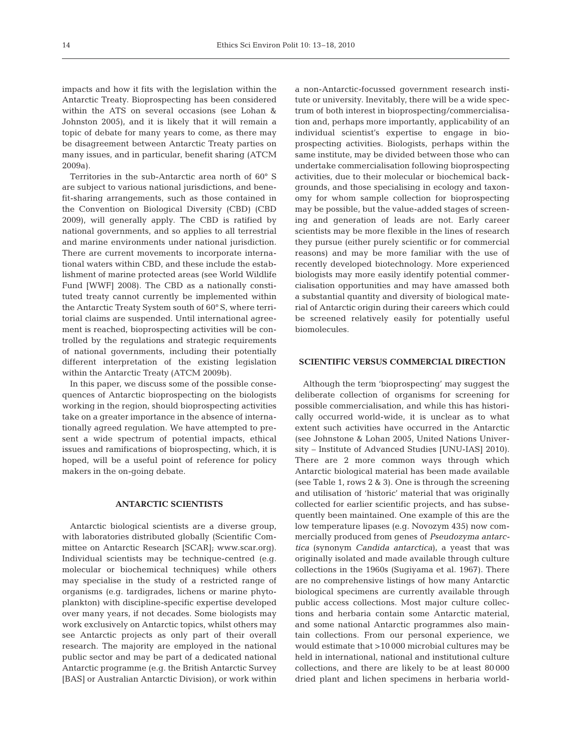impacts and how it fits with the legislation within the Antarctic Treaty. Bioprospecting has been considered within the ATS on several occasions (see Lohan & Johnston 2005), and it is likely that it will remain a topic of debate for many years to come, as there may be disagreement between Antarctic Treaty parties on many issues, and in particular, benefit sharing (ATCM 2009a).

Territories in the sub-Antarctic area north of 60° S are subject to various national jurisdictions, and benefit-sharing arrangements, such as those contained in the Convention on Biological Diversity (CBD) (CBD 2009), will generally apply. The CBD is ratified by national governments, and so applies to all terrestrial and marine environments under national jurisdiction. There are current movements to incorporate international waters within CBD, and these include the establishment of marine protected areas (see World Wildlife Fund [WWF] 2008). The CBD as a nationally constituted treaty cannot currently be implemented within the Antarctic Treaty System south of 60° S, where territorial claims are suspended. Until international agreement is reached, bioprospecting activities will be controlled by the regulations and strategic requirements of national governments, including their potentially different interpretation of the existing legislation within the Antarctic Treaty (ATCM 2009b).

In this paper, we discuss some of the possible consequences of Antarctic bioprospecting on the biologists working in the region, should bioprospecting activities take on a greater importance in the absence of internationally agreed regulation. We have attempted to present a wide spectrum of potential impacts, ethical issues and ramifications of bioprospecting, which, it is hoped, will be a useful point of reference for policy makers in the on-going debate.

# **ANTARCTIC SCIENTISTS**

Antarctic biological scientists are a diverse group, with laboratories distributed globally (Scientific Committee on Antarctic Research [SCAR]; www.scar.org). Individual scientists may be technique-centred (e.g. molecular or biochemical techniques) while others may specialise in the study of a restricted range of organisms (e.g. tardigrades, lichens or marine phytoplankton) with discipline-specific expertise developed over many years, if not decades. Some biologists may work exclusively on Antarctic topics, whilst others may see Antarctic projects as only part of their overall research. The majority are employed in the national public sector and may be part of a dedicated national Antarctic programme (e.g. the British Antarctic Survey [BAS] or Australian Antarctic Division), or work within

a non-Antarctic-focussed government research institute or university. Inevitably, there will be a wide spectrum of both interest in bioprospecting/commercialisation and, perhaps more importantly, applicability of an individual scientist's expertise to engage in bioprospecting activities. Biologists, perhaps within the same institute, may be divided between those who can undertake commercialisation following bioprospecting activities, due to their molecular or biochemical backgrounds, and those specialising in ecology and taxonomy for whom sample collection for bioprospecting may be possible, but the value-added stages of screening and generation of leads are not. Early career scientists may be more flexible in the lines of research they pursue (either purely scientific or for commercial reasons) and may be more familiar with the use of recently developed biotechnology. More experienced biologists may more easily identify potential commercialisation opportunities and may have amassed both a substantial quantity and diversity of biological material of Antarctic origin during their careers which could be screened relatively easily for potentially useful biomolecules.

# **SCIENTIFIC VERSUS COMMERCIAL DIRECTION**

Although the term 'bioprospecting' may suggest the deliberate collection of organisms for screening for possible commercialisation, and while this has historically occurred world-wide, it is unclear as to what extent such activities have occurred in the Antarctic (see Johnstone & Lohan 2005, United Nations University – Institute of Advanced Studies [UNU-IAS] 2010). There are 2 more common ways through which Antarctic biological material has been made available (see Table 1, rows 2 & 3). One is through the screening and utilisation of 'historic' material that was originally collected for earlier scientific projects, and has subsequently been maintained. One example of this are the low temperature lipases (e.g. Novozym 435) now commercially produced from genes of *Pseudozyma antarctica* (synonym *Candida antarctica*), a yeast that was originally isolated and made available through culture collections in the 1960s (Sugiyama et al. 1967). There are no comprehensive listings of how many Antarctic biological specimens are currently available through public access collections. Most major culture collections and herbaria contain some Antarctic material, and some national Antarctic programmes also maintain collections. From our personal experience, we would estimate that >10 000 microbial cultures may be held in international, national and institutional culture collections, and there are likely to be at least 80 000 dried plant and lichen specimens in herbaria world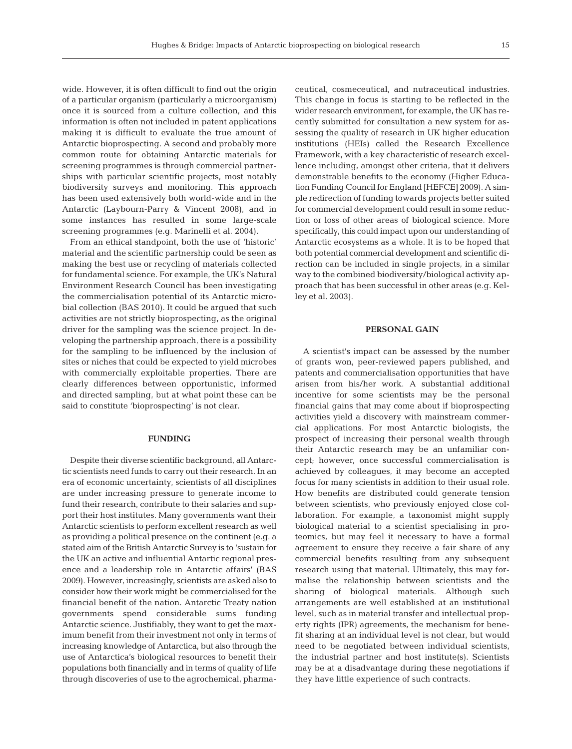wide. However, it is often difficult to find out the origin of a particular organism (particularly a microorganism) once it is sourced from a culture collection, and this information is often not included in patent applications making it is difficult to evaluate the true amount of Antarctic bioprospecting. A second and probably more common route for obtaining Antarctic materials for screening programmes is through commercial partnerships with particular scientific projects, most notably biodiversity surveys and monitoring. This approach has been used extensively both world-wide and in the Antarctic (Laybourn-Parry & Vincent 2008), and in some instances has resulted in some large-scale screening programmes (e.g. Marinelli et al. 2004).

From an ethical standpoint, both the use of 'historic' material and the scientific partnership could be seen as making the best use or recycling of materials collected for fundamental science. For example, the UK's Natural Environment Research Council has been investigating the commercialisation potential of its Antarctic microbial collection (BAS 2010). It could be argued that such activities are not strictly bioprospecting, as the original driver for the sampling was the science project. In developing the partnership approach, there is a possibility for the sampling to be influenced by the inclusion of sites or niches that could be expected to yield microbes with commercially exploitable properties. There are clearly differences between opportunistic, informed and directed sampling, but at what point these can be said to constitute 'bioprospecting' is not clear.

#### **FUNDING**

Despite their diverse scientific background, all Antarctic scientists need funds to carry out their research. In an era of economic uncertainty, scientists of all disciplines are under increasing pressure to generate income to fund their research, contribute to their salaries and support their host institutes. Many governments want their Antarctic scientists to perform excellent research as well as providing a political presence on the continent (e.g. a stated aim of the British Antarctic Survey is to 'sustain for the UK an active and influential Antartic regional presence and a leadership role in Antarctic affairs' (BAS 2009). However, increasingly, scientists are asked also to consider how their work might be commercialised for the financial benefit of the nation. Antarctic Treaty nation governments spend considerable sums funding Antarctic science. Justifiably, they want to get the maximum benefit from their investment not only in terms of increasing knowledge of Antarctica, but also through the use of Antarctica's biological resources to benefit their populations both financially and in terms of quality of life through discoveries of use to the agrochemical, pharmaceutical, cosmeceutical, and nutraceutical industries. This change in focus is starting to be reflected in the wider research environment, for example, the UK has recently submitted for consultation a new system for assessing the quality of research in UK higher education institutions (HEIs) called the Research Excellence Framework, with a key characteristic of research excellence including, amongst other criteria, that it delivers demonstrable benefits to the economy (Higher Education Funding Council for England [HEFCE] 2009). A simple redirection of funding towards projects better suited for commercial development could result in some reduction or loss of other areas of biological science. More specifically, this could impact upon our understanding of Antarctic ecosystems as a whole. It is to be hoped that both potential commercial development and scientific direction can be included in single projects, in a similar way to the combined biodiversity/biological activity approach that has been successful in other areas (e.g. Kelley et al. 2003).

#### **PERSONAL GAIN**

A scientist's impact can be assessed by the number of grants won, peer-reviewed papers published, and patents and commercialisation opportunities that have arisen from his/her work. A substantial additional incentive for some scientists may be the personal financial gains that may come about if bioprospecting activities yield a discovery with mainstream commercial applications. For most Antarctic biologists, the prospect of increasing their personal wealth through their Antarctic research may be an unfamiliar concept; however, once successful commercialisation is achieved by colleagues, it may become an accepted focus for many scientists in addition to their usual role. How benefits are distributed could generate tension between scientists, who previously enjoyed close collaboration. For example, a taxonomist might supply biological material to a scientist specialising in proteomics, but may feel it necessary to have a formal agreement to ensure they receive a fair share of any commercial benefits resulting from any subsequent research using that material. Ultimately, this may formalise the relationship between scientists and the sharing of biological materials. Although such arrangements are well established at an institutional level, such as in material transfer and intellectual property rights (IPR) agreements, the mechanism for benefit sharing at an individual level is not clear, but would need to be negotiated between individual scientists, the industrial partner and host institute(s). Scientists may be at a disadvantage during these negotiations if they have little experience of such contracts.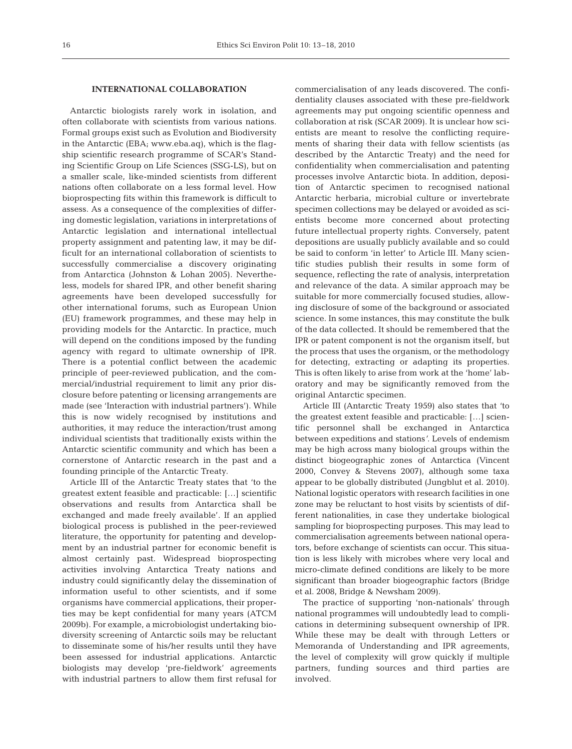# **INTERNATIONAL COLLABORATION**

Antarctic biologists rarely work in isolation, and often collaborate with scientists from various nations. Formal groups exist such as Evolution and Biodiversity in the Antarctic (EBA; www.eba.aq), which is the flagship scientific research programme of SCAR's Standing Scientific Group on Life Sciences (SSG-LS), but on a smaller scale, like-minded scientists from different nations often collaborate on a less formal level. How bioprospecting fits within this framework is difficult to assess. As a consequence of the complexities of differing domestic legislation, variations in interpretations of Antarctic legislation and international intellectual property assignment and patenting law, it may be difficult for an international collaboration of scientists to successfully commercialise a discovery originating from Antarctica (Johnston & Lohan 2005). Nevertheless, models for shared IPR, and other benefit sharing agreements have been developed successfully for other international forums, such as European Union (EU) framework programmes, and these may help in providing models for the Antarctic. In practice, much will depend on the conditions imposed by the funding agency with regard to ultimate ownership of IPR. There is a potential conflict between the academic principle of peer-reviewed publication, and the commercial/industrial requirement to limit any prior disclosure before patenting or licensing arrangements are made (see 'Interaction with industrial partners'). While this is now widely recognised by institutions and authorities, it may reduce the interaction/trust among individual scientists that traditionally exists within the Antarctic scientific community and which has been a cornerstone of Antarctic research in the past and a founding principle of the Antarctic Treaty.

Article III of the Antarctic Treaty states that 'to the greatest extent feasible and practicable: […] scientific observations and results from Antarctica shall be exchanged and made freely available'. If an applied biological process is published in the peer-reviewed literature, the opportunity for patenting and development by an industrial partner for economic benefit is almost certainly past. Widespread bioprospecting activities involving Antarctica Treaty nations and industry could significantly delay the dissemination of information useful to other scientists, and if some organisms have commercial applications, their properties may be kept confidential for many years (ATCM 2009b). For example, a microbiologist undertaking biodiversity screening of Antarctic soils may be reluctant to disseminate some of his/her results until they have been assessed for industrial applications. Antarctic biologists may develop 'pre-fieldwork' agreements with industrial partners to allow them first refusal for

commercialisation of any leads discovered. The confidentiality clauses associated with these pre-fieldwork agreements may put ongoing scientific openness and collaboration at risk (SCAR 2009). It is unclear how scientists are meant to resolve the conflicting requirements of sharing their data with fellow scientists (as described by the Antarctic Treaty) and the need for confidentiality when commercialisation and patenting processes involve Antarctic biota. In addition, deposition of Antarctic specimen to recognised national Antarctic herbaria, microbial culture or invertebrate specimen collections may be delayed or avoided as scientists become more concerned about protecting future intellectual property rights. Conversely, patent depositions are usually publicly available and so could be said to conform 'in letter' to Article III. Many scientific studies publish their results in some form of sequence, reflecting the rate of analysis, interpretation and relevance of the data. A similar approach may be suitable for more commercially focused studies, allowing disclosure of some of the background or associated science. In some instances, this may constitute the bulk of the data collected. It should be remembered that the IPR or patent component is not the organism itself, but the process that uses the organism, or the methodology for detecting, extracting or adapting its properties. This is often likely to arise from work at the 'home' laboratory and may be significantly removed from the original Antarctic specimen.

Article III (Antarctic Treaty 1959) also states that 'to the greatest extent feasible and practicable: […] scientific personnel shall be exchanged in Antarctica between expeditions and stations*'*. Levels of endemism may be high across many biological groups within the distinct biogeographic zones of Antarctica (Vincent 2000, Convey & Stevens 2007), although some taxa appear to be globally distributed (Jungblut et al. 2010). National logistic operators with research facilities in one zone may be reluctant to host visits by scientists of different nationalities, in case they undertake biological sampling for bioprospecting purposes. This may lead to commercialisation agreements between national operators, before exchange of scientists can occur. This situation is less likely with microbes where very local and micro-climate defined conditions are likely to be more significant than broader biogeographic factors (Bridge et al. 2008, Bridge & Newsham 2009).

The practice of supporting 'non-nationals' through national programmes will undoubtedly lead to complications in determining subsequent ownership of IPR. While these may be dealt with through Letters or Memoranda of Understanding and IPR agreements, the level of complexity will grow quickly if multiple partners, funding sources and third parties are involved.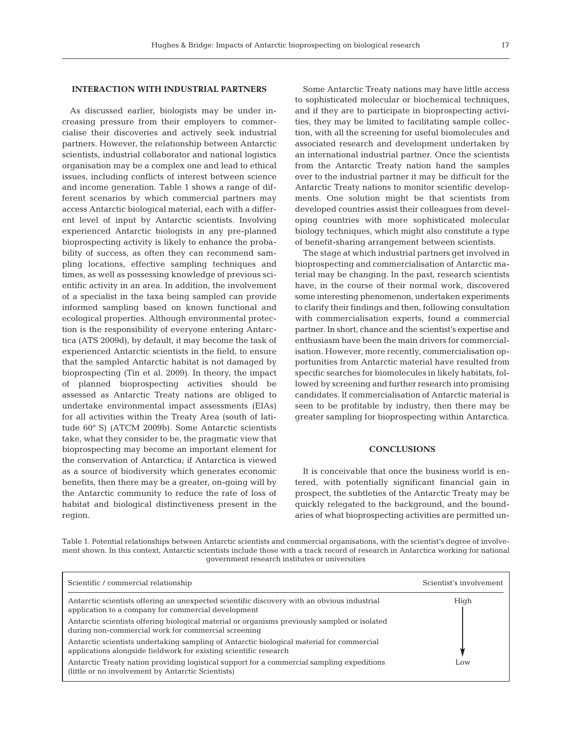# **INTERACTION WITH INDUSTRIAL PARTNERS**

As discussed earlier, biologists may be under increasing pressure from their employers to commercialise their discoveries and actively seek industrial partners. However, the relationship between Antarctic scientists, industrial collaborator and national logistics organisation may be a complex one and lead to ethical issues, including conflicts of interest between science and income generation. Table 1 shows a range of different scenarios by which commercial partners may access Antarctic biological material, each with a different level of input by Antarctic scientists. Involving experienced Antarctic biologists in any pre-planned bioprospecting activity is likely to enhance the probability of success, as often they can recommend sampling locations, effective sampling techniques and times, as well as possessing knowledge of previous scientific activity in an area. In addition, the involvement of a specialist in the taxa being sampled can provide informed sampling based on known functional and ecological properties. Although environmental protection is the responsibility of everyone entering Antarctica (ATS 2009d), by default, it may become the task of experienced Antarctic scientists in the field, to ensure that the sampled Antarctic habitat is not damaged by bioprospecting (Tin et al. 2009). In theory, the impact of planned bioprospecting activities should be assessed as Antarctic Treaty nations are obliged to undertake environmental impact assessments (EIAs) for all activities within the Treaty Area (south of latitude 60° S) (ATCM 2009b). Some Antarctic scientists take, what they consider to be, the pragmatic view that bioprospecting may become an important element for the conservation of Antarctica; if Antarctica is viewed as a source of biodiversity which generates economic benefits, then there may be a greater, on-going will by the Antarctic community to reduce the rate of loss of habitat and biological distinctiveness present in the region.

Some Antarctic Treaty nations may have little access to sophisticated molecular or biochemical techniques, and if they are to participate in bioprospecting activities, they may be limited to facilitating sample collection, with all the screening for useful biomolecules and associated research and development undertaken by an international industrial partner. Once the scientists from the Antarctic Treaty nation hand the samples over to the industrial partner it may be difficult for the Antarctic Treaty nations to monitor scientific developments. One solution might be that scientists from developed countries assist their colleagues from developing countries with more sophisticated molecular biology techniques, which might also constitute a type of benefit-sharing arrangement between scientists.

The stage at which industrial partners get involved in bioprospecting and commercialisation of Antarctic material may be changing. In the past, research scientists have, in the course of their normal work, discovered some interesting phenomenon, undertaken experiments to clarify their findings and then, following consultation with commercialisation experts, found a commercial partner. In short, chance and the scientist's expertise and enthusiasm have been the main drivers for commercialisation. However, more recently, commercialisation opportunities from Antarctic material have resulted from specific searches for biomolecules in likely habitats, followed by screening and further research into promising candidates. If commercialisation of Antarctic material is seen to be profitable by industry, then there may be greater sampling for bioprospecting within Antarctica.

### **CONCLUSIONS**

It is conceivable that once the business world is entered, with potentially significant financial gain in prospect, the subtleties of the Antarctic Treaty may be quickly relegated to the background, and the boundaries of what bioprospecting activities are permitted un-

Table 1. Potential relationships between Antarctic scientists and commercial organisations, with the scientist's degree of involvement shown. In this context, Antarctic scientists include those with a track record of research in Antarctica working for national government research institutes or universities

| Scientific / commercial relationship                                                                                                                           | Scientist's involvement |
|----------------------------------------------------------------------------------------------------------------------------------------------------------------|-------------------------|
| Antarctic scientists offering an unexpected scientific discovery with an obvious industrial<br>application to a company for commercial development             | High                    |
| Antarctic scientists offering biological material or organisms previously sampled or isolated<br>during non-commercial work for commercial screening           |                         |
| Antarctic scientists undertaking sampling of Antarctic biological material for commercial<br>applications alongside fieldwork for existing scientific research |                         |
| Antarctic Treaty nation providing logistical support for a commercial sampling expeditions<br>(little or no involvement by Antarctic Scientists)               | Low                     |